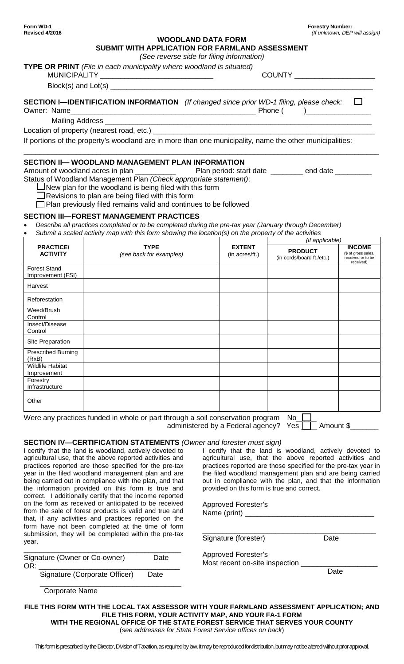**Other** 

| Revised 4/2016                      |                                                                                                                   |                                 |                                             | (If unknown, DEP will assign)                                          |
|-------------------------------------|-------------------------------------------------------------------------------------------------------------------|---------------------------------|---------------------------------------------|------------------------------------------------------------------------|
|                                     | <b>WOODLAND DATA FORM</b>                                                                                         |                                 |                                             |                                                                        |
|                                     | SUBMIT WITH APPLICATION FOR FARMLAND ASSESSMENT                                                                   |                                 |                                             |                                                                        |
|                                     | (See reverse side for filing information)                                                                         |                                 |                                             |                                                                        |
|                                     | TYPE OR PRINT (File in each municipality where woodland is situated)<br>MUNICIPALITY ____________________________ |                                 | COUNTY ______________________               |                                                                        |
|                                     |                                                                                                                   |                                 |                                             |                                                                        |
|                                     | <b>SECTION I-IDENTIFICATION INFORMATION</b> (If changed since prior WD-1 filing, please check: $\Box$             |                                 |                                             |                                                                        |
|                                     |                                                                                                                   |                                 |                                             |                                                                        |
|                                     |                                                                                                                   |                                 |                                             |                                                                        |
|                                     |                                                                                                                   |                                 |                                             |                                                                        |
|                                     | If portions of the property's woodland are in more than one municipality, name the other municipalities:          |                                 |                                             |                                                                        |
|                                     |                                                                                                                   |                                 |                                             |                                                                        |
|                                     | SECTION II— WOODLAND MANAGEMENT PLAN INFORMATION                                                                  |                                 |                                             |                                                                        |
|                                     |                                                                                                                   |                                 |                                             |                                                                        |
|                                     | Status of Woodland Management Plan (Check appropriate statement):                                                 |                                 |                                             |                                                                        |
|                                     | $J$ New plan for the woodland is being filed with this form                                                       |                                 |                                             |                                                                        |
|                                     | Revisions to plan are being filed with this form                                                                  |                                 |                                             |                                                                        |
|                                     | $\Box$ Plan previously filed remains valid and continues to be followed                                           |                                 |                                             |                                                                        |
|                                     | <b>SECTION III—FOREST MANAGEMENT PRACTICES</b>                                                                    |                                 |                                             |                                                                        |
|                                     | Describe all practices completed or to be completed during the pre-tax year (January through December)            |                                 |                                             |                                                                        |
|                                     | Submit a scaled activity map with this form showing the location(s) on the property of the activities             |                                 |                                             |                                                                        |
|                                     |                                                                                                                   |                                 | (if applicable)                             |                                                                        |
| <b>PRACTICE/</b><br><b>ACTIVITY</b> | <b>TYPE</b><br>(see back for examples)                                                                            | <b>EXTENT</b><br>(in acres/ft.) | <b>PRODUCT</b><br>(in cords/board ft./etc.) | <b>INCOME</b><br>(\$ of gross sales,<br>received or to be<br>received) |
| <b>Forest Stand</b>                 |                                                                                                                   |                                 |                                             |                                                                        |
| Improvement (FSI)                   |                                                                                                                   |                                 |                                             |                                                                        |
| Harvest                             |                                                                                                                   |                                 |                                             |                                                                        |
| Reforestation                       |                                                                                                                   |                                 |                                             |                                                                        |
| Weed/Brush<br>Control               |                                                                                                                   |                                 |                                             |                                                                        |
| Insect/Disease                      |                                                                                                                   |                                 |                                             |                                                                        |
| Control                             |                                                                                                                   |                                 |                                             |                                                                        |
| Site Preparation                    |                                                                                                                   |                                 |                                             |                                                                        |
| <b>Prescribed Burning</b><br>(RxB)  |                                                                                                                   |                                 |                                             |                                                                        |
| <b>Wildlife Habitat</b>             |                                                                                                                   |                                 |                                             |                                                                        |
| Improvement                         |                                                                                                                   |                                 |                                             |                                                                        |
| Forestry<br>Infrastructure          |                                                                                                                   |                                 |                                             |                                                                        |

Were any practices funded in whole or part through a soil conservation program  $No$ administered by a Federal agency? Yes  $\Box$  Amount \$

**SECTION IV—CERTIFICATION STATEMENTS** *(Owner and forester must sign)*

| I certify that the land is woodland, actively devoted to<br>agricultural use, that the above reported activities and<br>practices reported are those specified for the pre-tax<br>year in the filed woodland management plan and are<br>being carried out in compliance with the plan, and that<br>the information provided on this form is true and<br>correct. I additionally certify that the income reported<br>on the form as received or anticipated to be received<br>from the sale of forest products is valid and true and<br>that, if any activities and practices reported on the | I certify that the land is woodland, actively devoted to<br>agricultural use, that the above reported activities and<br>practices reported are those specified for the pre-tax year in<br>the filed woodland management plan and are being carried<br>out in compliance with the plan, and that the information<br>provided on this form is true and correct.<br><b>Approved Forester's</b><br>Name (print) ______ |      |
|----------------------------------------------------------------------------------------------------------------------------------------------------------------------------------------------------------------------------------------------------------------------------------------------------------------------------------------------------------------------------------------------------------------------------------------------------------------------------------------------------------------------------------------------------------------------------------------------|--------------------------------------------------------------------------------------------------------------------------------------------------------------------------------------------------------------------------------------------------------------------------------------------------------------------------------------------------------------------------------------------------------------------|------|
| form have not been completed at the time of form<br>submission, they will be completed within the pre-tax<br>year.                                                                                                                                                                                                                                                                                                                                                                                                                                                                           | Signature (forester)                                                                                                                                                                                                                                                                                                                                                                                               | Date |
| Signature (Owner or Co-owner)<br>Date<br>OR:                                                                                                                                                                                                                                                                                                                                                                                                                                                                                                                                                 | <b>Approved Forester's</b><br>Most recent on-site inspection                                                                                                                                                                                                                                                                                                                                                       |      |
| Signature (Corporate Officer)<br>Date                                                                                                                                                                                                                                                                                                                                                                                                                                                                                                                                                        |                                                                                                                                                                                                                                                                                                                                                                                                                    | Date |
| <b>Corporate Name</b>                                                                                                                                                                                                                                                                                                                                                                                                                                                                                                                                                                        |                                                                                                                                                                                                                                                                                                                                                                                                                    |      |

**FILE THIS FORM WITH THE LOCAL TAX ASSESSOR WITH YOUR FARMLAND ASSESSMENT APPLICATION; AND FILE THIS FORM, YOUR ACTIVITY MAP, AND YOUR FA-1 FORM WITH THE REGIONAL OFFICE OF THE STATE FOREST SERVICE THAT SERVES YOUR COUNTY** 

(*see addresses for State Forest Service offices on back*)

This form is prescribed by the Director, Division of Taxation, as required by law. It may be reproduced for distribution, butmay not be altered without prior approval.